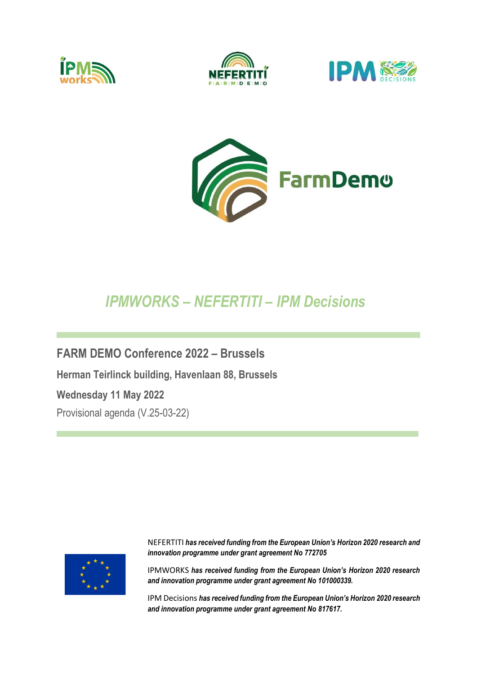







## *IPMWORKS – NEFERTITI – IPM Decisions*

**FARM DEMO Conference 2022 – Brussels Herman Teirlinck building, Havenlaan 88, Brussels Wednesday 11 May 2022** Provisional agenda (V.25-03-22)



NEFERTITI *has received funding from the European Union's Horizon 2020 research and innovation programme under grant agreement No 772705*

IPMWORKS *has received funding from the European Union's Horizon 2020 research and innovation programme under grant agreement No 101000339.*

IPM Decisions *has received funding from the European Union's Horizon 2020 research and innovation programme under grant agreement No 817617.*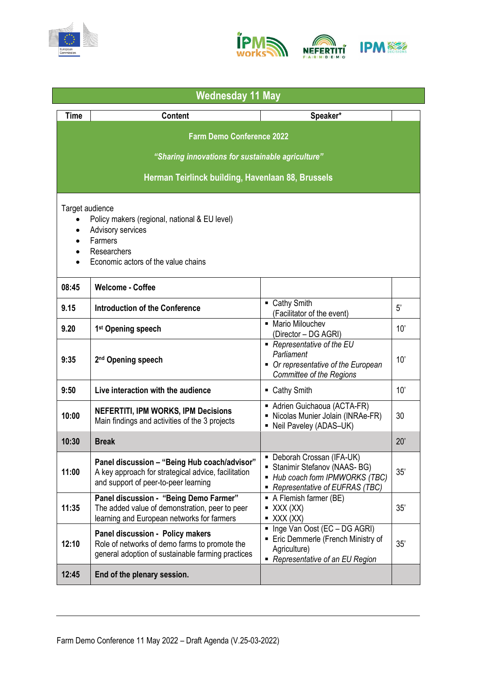



| <b>Wednesday 11 May</b>                           |                                                                                                                                             |                                                                                                                                   |     |  |  |
|---------------------------------------------------|---------------------------------------------------------------------------------------------------------------------------------------------|-----------------------------------------------------------------------------------------------------------------------------------|-----|--|--|
| <b>Time</b>                                       | <b>Content</b>                                                                                                                              | Speaker*                                                                                                                          |     |  |  |
| <b>Farm Demo Conference 2022</b>                  |                                                                                                                                             |                                                                                                                                   |     |  |  |
| "Sharing innovations for sustainable agriculture" |                                                                                                                                             |                                                                                                                                   |     |  |  |
|                                                   |                                                                                                                                             |                                                                                                                                   |     |  |  |
| Herman Teirlinck building, Havenlaan 88, Brussels |                                                                                                                                             |                                                                                                                                   |     |  |  |
| Target audience                                   |                                                                                                                                             |                                                                                                                                   |     |  |  |
| $\bullet$<br>$\bullet$                            | Policy makers (regional, national & EU level)<br>Advisory services                                                                          |                                                                                                                                   |     |  |  |
| $\bullet$                                         | Farmers                                                                                                                                     |                                                                                                                                   |     |  |  |
| $\bullet$                                         | Researchers                                                                                                                                 |                                                                                                                                   |     |  |  |
| $\bullet$                                         | Economic actors of the value chains                                                                                                         |                                                                                                                                   |     |  |  |
| 08:45                                             | <b>Welcome - Coffee</b>                                                                                                                     |                                                                                                                                   |     |  |  |
| 9.15                                              | Introduction of the Conference                                                                                                              | • Cathy Smith<br>(Facilitator of the event)                                                                                       | 5'  |  |  |
| 9.20                                              | 1 <sup>st</sup> Opening speech                                                                                                              | • Mario Milouchev<br>(Director - DG AGRI)                                                                                         | 10' |  |  |
| 9:35                                              | 2 <sup>nd</sup> Opening speech                                                                                                              | ■ Representative of the EU<br>Parliament<br>• Or representative of the European<br>Committee of the Regions                       | 10' |  |  |
| 9:50                                              | Live interaction with the audience                                                                                                          | ■ Cathy Smith                                                                                                                     | 10' |  |  |
| 10:00                                             | <b>NEFERTITI, IPM WORKS, IPM Decisions</b><br>Main findings and activities of the 3 projects                                                | Adrien Guichaoua (ACTA-FR)<br>- Nicolas Munier Jolain (INRAe-FR)<br>- Neil Paveley (ADAS-UK)                                      | 30  |  |  |
| 10:30                                             | <b>Break</b>                                                                                                                                |                                                                                                                                   | 20' |  |  |
| 11:00                                             | Panel discussion - "Being Hub coach/advisor"<br>A key approach for strategical advice, facilitation<br>and support of peer-to-peer learning | • Deborah Crossan (IFA-UK)<br>Stanimir Stefanov (NAAS- BG)<br>■ Hub coach form IPMWORKS (TBC)<br>- Representative of EUFRAS (TBC) | 35' |  |  |
| 11:35                                             | Panel discussion - "Being Demo Farmer"<br>The added value of demonstration, peer to peer<br>learning and European networks for farmers      | • A Flemish farmer (BE)<br>$\blacksquare$ XXX (XX)<br>$\bullet$ XXX (XX)                                                          | 35' |  |  |
| 12:10                                             | Panel discussion - Policy makers<br>Role of networks of demo farms to promote the<br>general adoption of sustainable farming practices      | Inge Van Oost (EC - DG AGRI)<br>Eric Demmerle (French Ministry of<br>Agriculture)<br>- Representative of an EU Region             | 35' |  |  |
| 12:45                                             | End of the plenary session.                                                                                                                 |                                                                                                                                   |     |  |  |